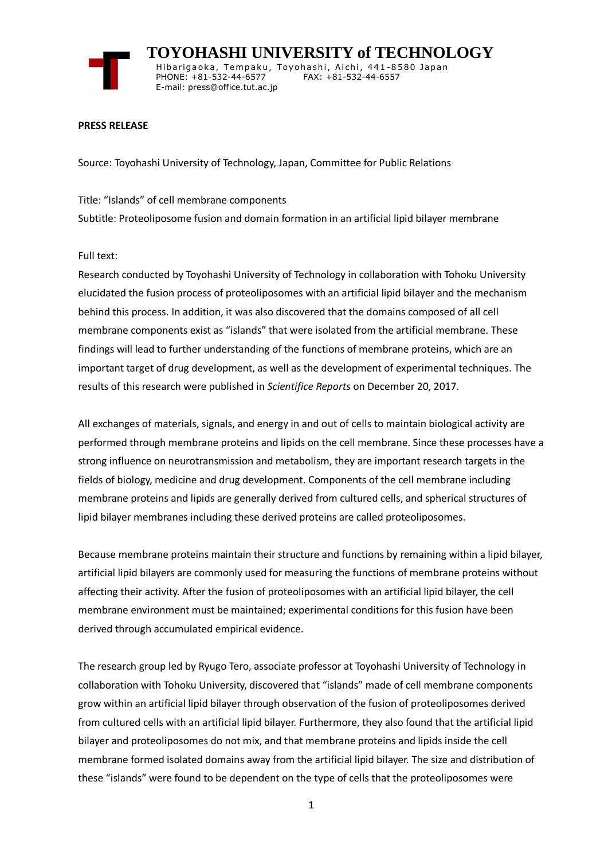

 **TOYOHASHI UNIVERSITY of TECHNOLOGY** Hibarigaoka, Tempaku, Toyohashi, Aichi, 441-8580 Japan PHONE: +81-532-44-6577 FAX: +81-532-44-6557 E-mail: press@office.tut.ac.jp

## **PRESS RELEASE**

Source: Toyohashi University of Technology, Japan, Committee for Public Relations

Title: "Islands" of cell membrane components Subtitle: Proteoliposome fusion and domain formation in an artificial lipid bilayer membrane

## Full text:

Research conducted by Toyohashi University of Technology in collaboration with Tohoku University elucidated the fusion process of proteoliposomes with an artificial lipid bilayer and the mechanism behind this process. In addition, it was also discovered that the domains composed of all cell membrane components exist as "islands" that were isolated from the artificial membrane. These findings will lead to further understanding of the functions of membrane proteins, which are an important target of drug development, as well as the development of experimental techniques. The results of this research were published in *Scientifice Reports* on December 20, 2017.

All exchanges of materials, signals, and energy in and out of cells to maintain biological activity are performed through membrane proteins and lipids on the cell membrane. Since these processes have a strong influence on neurotransmission and metabolism, they are important research targets in the fields of biology, medicine and drug development. Components of the cell membrane including membrane proteins and lipids are generally derived from cultured cells, and spherical structures of lipid bilayer membranes including these derived proteins are called proteoliposomes.

Because membrane proteins maintain their structure and functions by remaining within a lipid bilayer, artificial lipid bilayers are commonly used for measuring the functions of membrane proteins without affecting their activity. After the fusion of proteoliposomes with an artificial lipid bilayer, the cell membrane environment must be maintained; experimental conditions for this fusion have been derived through accumulated empirical evidence.

The research group led by Ryugo Tero, associate professor at Toyohashi University of Technology in collaboration with Tohoku University, discovered that "islands" made of cell membrane components grow within an artificial lipid bilayer through observation of the fusion of proteoliposomes derived from cultured cells with an artificial lipid bilayer. Furthermore, they also found that the artificial lipid bilayer and proteoliposomes do not mix, and that membrane proteins and lipids inside the cell membrane formed isolated domains away from the artificial lipid bilayer. The size and distribution of these "islands" were found to be dependent on the type of cells that the proteoliposomes were

1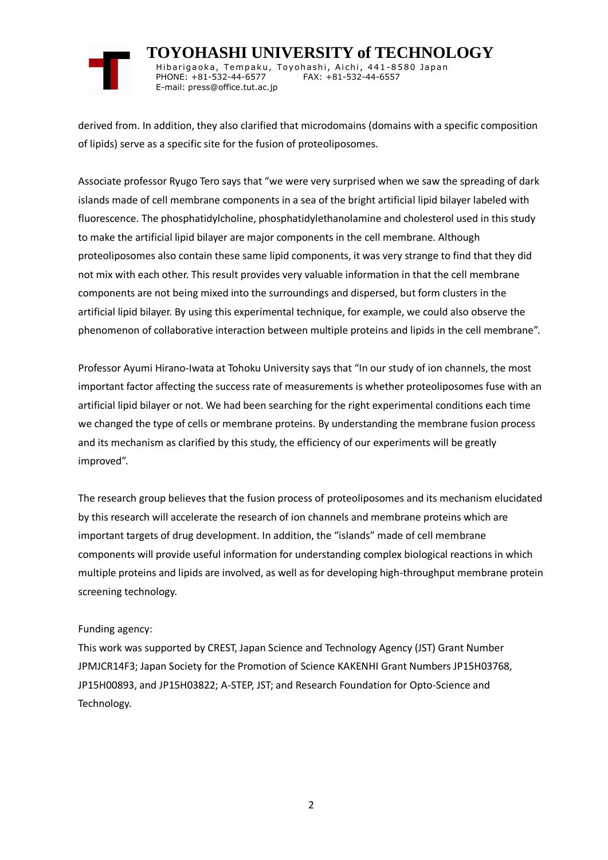

 **TOYOHASHI UNIVERSITY of TECHNOLOGY** Hibarigaoka, Tempaku, Toyohashi, Aichi, 441-8580 Japan PHONE: +81-532-44-6577 FAX: +81-532-44-6557 E-mail: press@office.tut.ac.jp

derived from. In addition, they also clarified that microdomains (domains with a specific composition of lipids) serve as a specific site for the fusion of proteoliposomes.

Associate professor Ryugo Tero says that "we were very surprised when we saw the spreading of dark islands made of cell membrane components in a sea of the bright artificial lipid bilayer labeled with fluorescence. The phosphatidylcholine, phosphatidylethanolamine and cholesterol used in this study to make the artificial lipid bilayer are major components in the cell membrane. Although proteoliposomes also contain these same lipid components, it was very strange to find that they did not mix with each other. This result provides very valuable information in that the cell membrane components are not being mixed into the surroundings and dispersed, but form clusters in the artificial lipid bilayer. By using this experimental technique, for example, we could also observe the phenomenon of collaborative interaction between multiple proteins and lipids in the cell membrane".

Professor Ayumi Hirano-Iwata at Tohoku University says that "In our study of ion channels, the most important factor affecting the success rate of measurements is whether proteoliposomes fuse with an artificial lipid bilayer or not. We had been searching for the right experimental conditions each time we changed the type of cells or membrane proteins. By understanding the membrane fusion process and its mechanism as clarified by this study, the efficiency of our experiments will be greatly improved".

The research group believes that the fusion process of proteoliposomes and its mechanism elucidated by this research will accelerate the research of ion channels and membrane proteins which are important targets of drug development. In addition, the "islands" made of cell membrane components will provide useful information for understanding complex biological reactions in which multiple proteins and lipids are involved, as well as for developing high-throughput membrane protein screening technology.

## Funding agency:

This work was supported by CREST, Japan Science and Technology Agency (JST) Grant Number JPMJCR14F3; Japan Society for the Promotion of Science KAKENHI Grant Numbers JP15H03768, JP15H00893, and JP15H03822; A-STEP, JST; and Research Foundation for Opto-Science and Technology.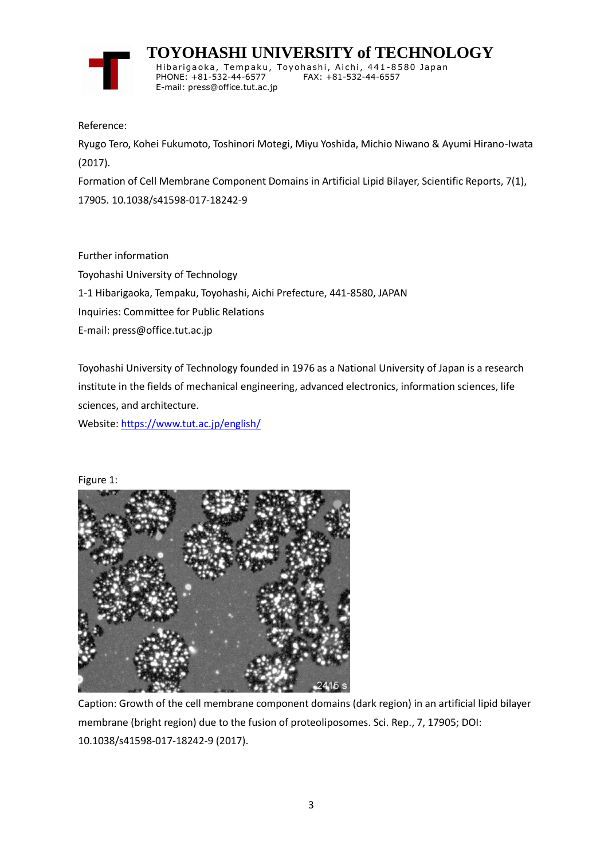

 **TOYOHASHI UNIVERSITY of TECHNOLOGY** Hibarigaoka, Tempaku, Toyohashi, Aichi, 441-8580 Japan PHONE: +81-532-44-6577 FAX: +81-532-44-6557 E-mail: press@office.tut.ac.jp

Reference:

Ryugo Tero, Kohei Fukumoto, Toshinori Motegi, Miyu Yoshida, Michio Niwano & Ayumi Hirano-Iwata (2017).

Formation of Cell Membrane Component Domains in Artificial Lipid Bilayer, Scientific Reports, 7(1), 17905. 10.1038/s41598-017-18242-9

Further information Toyohashi University of Technology 1-1 Hibarigaoka, Tempaku, Toyohashi, Aichi Prefecture, 441-8580, JAPAN Inquiries: Committee for Public Relations E-mail: press@office.tut.ac.jp

Toyohashi University of Technology founded in 1976 as a National University of Japan is a research institute in the fields of mechanical engineering, advanced electronics, information sciences, life sciences, and architecture.

Website[: https://www.tut.ac.jp/english/](https://www.tut.ac.jp/english/)

Figure 1:



Caption: Growth of the cell membrane component domains (dark region) in an artificial lipid bilayer membrane (bright region) due to the fusion of proteoliposomes. Sci. Rep., 7, 17905; DOI: 10.1038/s41598-017-18242-9 (2017).